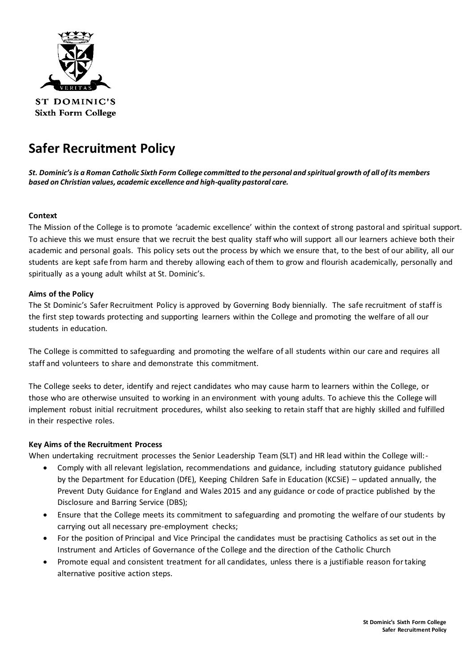

**ST DOMINIC'S Sixth Form College** 

# **Safer Recruitment Policy**

*St. Dominic's is a Roman Catholic Sixth Form College committed to the personal and spiritual growth of all of its members based on Christian values, academic excellence and high-quality pastoral care.*

# **Context**

The Mission of the College is to promote 'academic excellence' within the context of strong pastoral and spiritual support. To achieve this we must ensure that we recruit the best quality staff who will support all our learners achieve both their academic and personal goals. This policy sets out the process by which we ensure that, to the best of our ability, all our students are kept safe from harm and thereby allowing each of them to grow and flourish academically, personally and spiritually as a young adult whilst at St. Dominic's.

#### **Aims of the Policy**

The St Dominic's Safer Recruitment Policy is approved by Governing Body biennially. The safe recruitment of staff is the first step towards protecting and supporting learners within the College and promoting the welfare of all our students in education.

The College is committed to safeguarding and promoting the welfare of all students within our care and requires all staff and volunteers to share and demonstrate this commitment.

The College seeks to deter, identify and reject candidates who may cause harm to learners within the College, or those who are otherwise unsuited to working in an environment with young adults. To achieve this the College will implement robust initial recruitment procedures, whilst also seeking to retain staff that are highly skilled and fulfilled in their respective roles.

#### **Key Aims of the Recruitment Process**

When undertaking recruitment processes the Senior Leadership Team (SLT) and HR lead within the College will:-

- Comply with all relevant legislation, recommendations and guidance, including statutory guidance published by the Department for Education (DfE), Keeping Children Safe in Education (KCSiE) – updated annually, the Prevent Duty Guidance for England and Wales 2015 and any guidance or code of practice published by the Disclosure and Barring Service (DBS);
- Ensure that the College meets its commitment to safeguarding and promoting the welfare of our students by carrying out all necessary pre-employment checks;
- For the position of Principal and Vice Principal the candidates must be practising Catholics as set out in the Instrument and Articles of Governance of the College and the direction of the Catholic Church
- Promote equal and consistent treatment for all candidates, unless there is a justifiable reason for taking alternative positive action steps.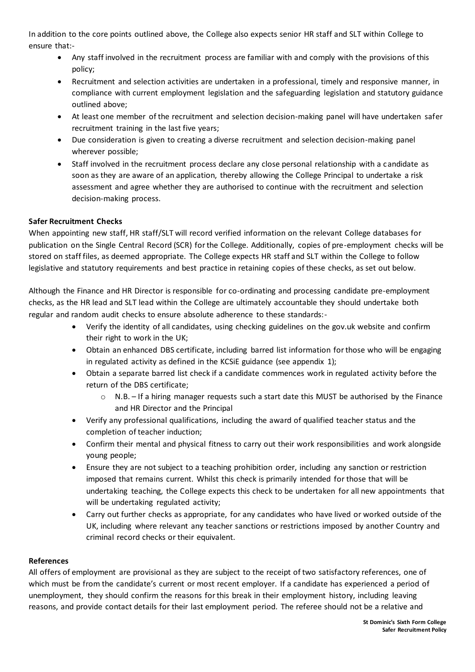In addition to the core points outlined above, the College also expects senior HR staff and SLT within College to ensure that:-

- Any staff involved in the recruitment process are familiar with and comply with the provisions of this policy;
- Recruitment and selection activities are undertaken in a professional, timely and responsive manner, in compliance with current employment legislation and the safeguarding legislation and statutory guidance outlined above;
- At least one member of the recruitment and selection decision-making panel will have undertaken safer recruitment training in the last five years;
- Due consideration is given to creating a diverse recruitment and selection decision-making panel wherever possible;
- Staff involved in the recruitment process declare any close personal relationship with a candidate as soon as they are aware of an application, thereby allowing the College Principal to undertake a risk assessment and agree whether they are authorised to continue with the recruitment and selection decision-making process.

# **Safer Recruitment Checks**

When appointing new staff, HR staff/SLT will record verified information on the relevant College databases for publication on the Single Central Record (SCR) for the College. Additionally, copies of pre-employment checks will be stored on staff files, as deemed appropriate. The College expects HR staff and SLT within the College to follow legislative and statutory requirements and best practice in retaining copies of these checks, as set out below.

Although the Finance and HR Director is responsible for co-ordinating and processing candidate pre-employment checks, as the HR lead and SLT lead within the College are ultimately accountable they should undertake both regular and random audit checks to ensure absolute adherence to these standards:-

- Verify the identity of all candidates, using checking guidelines on the gov.uk website and confirm their right to work in the UK;
- Obtain an enhanced DBS certificate, including barred list information for those who will be engaging in regulated activity as defined in the KCSiE guidance (see appendix 1);
- Obtain a separate barred list check if a candidate commences work in regulated activity before the return of the DBS certificate;
	- $\circ$  N.B. If a hiring manager requests such a start date this MUST be authorised by the Finance and HR Director and the Principal
- Verify any professional qualifications, including the award of qualified teacher status and the completion of teacher induction;
- Confirm their mental and physical fitness to carry out their work responsibilities and work alongside young people;
- Ensure they are not subject to a teaching prohibition order, including any sanction or restriction imposed that remains current. Whilst this check is primarily intended for those that will be undertaking teaching, the College expects this check to be undertaken for all new appointments that will be undertaking regulated activity;
- Carry out further checks as appropriate, for any candidates who have lived or worked outside of the UK, including where relevant any teacher sanctions or restrictions imposed by another Country and criminal record checks or their equivalent.

#### **References**

All offers of employment are provisional as they are subject to the receipt of two satisfactory references, one of which must be from the candidate's current or most recent employer. If a candidate has experienced a period of unemployment, they should confirm the reasons for this break in their employment history, including leaving reasons, and provide contact details for their last employment period. The referee should not be a relative and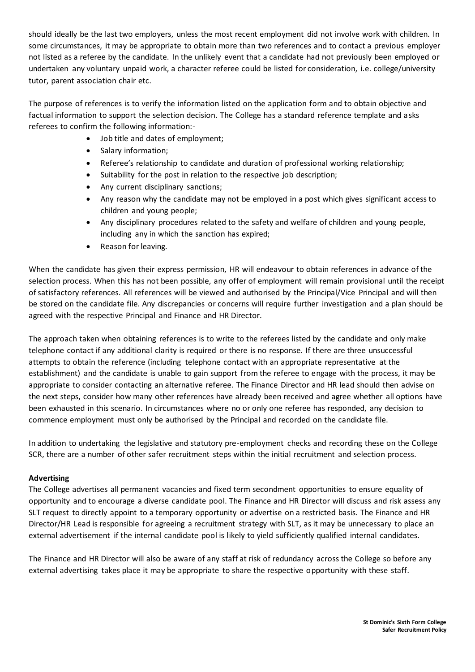should ideally be the last two employers, unless the most recent employment did not involve work with children. In some circumstances, it may be appropriate to obtain more than two references and to contact a previous employer not listed as a referee by the candidate. In the unlikely event that a candidate had not previously been employed or undertaken any voluntary unpaid work, a character referee could be listed for consideration, i.e. college/university tutor, parent association chair etc.

The purpose of references is to verify the information listed on the application form and to obtain objective and factual information to support the selection decision. The College has a standard reference template and asks referees to confirm the following information:-

- Job title and dates of employment;
- Salary information;
- Referee's relationship to candidate and duration of professional working relationship;
- Suitability for the post in relation to the respective job description;
- Any current disciplinary sanctions;
- Any reason why the candidate may not be employed in a post which gives significant access to children and young people;
- Any disciplinary procedures related to the safety and welfare of children and young people, including any in which the sanction has expired;
- Reason for leaving.

When the candidate has given their express permission, HR will endeavour to obtain references in advance of the selection process. When this has not been possible, any offer of employment will remain provisional until the receipt of satisfactory references. All references will be viewed and authorised by the Principal/Vice Principal and will then be stored on the candidate file. Any discrepancies or concerns will require further investigation and a plan should be agreed with the respective Principal and Finance and HR Director.

The approach taken when obtaining references is to write to the referees listed by the candidate and only make telephone contact if any additional clarity is required or there is no response. If there are three unsuccessful attempts to obtain the reference (including telephone contact with an appropriate representative at the establishment) and the candidate is unable to gain support from the referee to engage with the process, it may be appropriate to consider contacting an alternative referee. The Finance Director and HR lead should then advise on the next steps, consider how many other references have already been received and agree whether all options have been exhausted in this scenario. In circumstances where no or only one referee has responded, any decision to commence employment must only be authorised by the Principal and recorded on the candidate file.

In addition to undertaking the legislative and statutory pre-employment checks and recording these on the College SCR, there are a number of other safer recruitment steps within the initial recruitment and selection process.

#### **Advertising**

The College advertises all permanent vacancies and fixed term secondment opportunities to ensure equality of opportunity and to encourage a diverse candidate pool. The Finance and HR Director will discuss and risk assess any SLT request to directly appoint to a temporary opportunity or advertise on a restricted basis. The Finance and HR Director/HR Lead is responsible for agreeing a recruitment strategy with SLT, as it may be unnecessary to place an external advertisement if the internal candidate pool is likely to yield sufficiently qualified internal candidates.

The Finance and HR Director will also be aware of any staff at risk of redundancy across the College so before any external advertising takes place it may be appropriate to share the respective opportunity with these staff.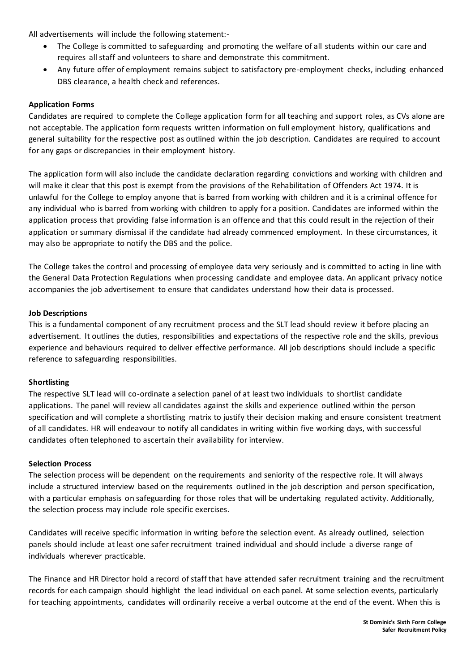All advertisements will include the following statement:-

- The College is committed to safeguarding and promoting the welfare of all students within our care and requires all staff and volunteers to share and demonstrate this commitment.
- Any future offer of employment remains subject to satisfactory pre-employment checks, including enhanced DBS clearance, a health check and references.

### **Application Forms**

Candidates are required to complete the College application form for all teaching and support roles, as CVs alone are not acceptable. The application form requests written information on full employment history, qualifications and general suitability for the respective post as outlined within the job description. Candidates are required to account for any gaps or discrepancies in their employment history.

The application form will also include the candidate declaration regarding convictions and working with children and will make it clear that this post is exempt from the provisions of the Rehabilitation of Offenders Act 1974. It is unlawful for the College to employ anyone that is barred from working with children and it is a criminal offence for any individual who is barred from working with children to apply for a position. Candidates are informed within the application process that providing false information is an offence and that this could result in the rejection of their application or summary dismissal if the candidate had already commenced employment. In these circumstances, it may also be appropriate to notify the DBS and the police.

The College takes the control and processing of employee data very seriously and is committed to acting in line with the General Data Protection Regulations when processing candidate and employee data. An applicant privacy notice accompanies the job advertisement to ensure that candidates understand how their data is processed.

#### **Job Descriptions**

This is a fundamental component of any recruitment process and the SLT lead should review it before placing an advertisement. It outlines the duties, responsibilities and expectations of the respective role and the skills, previous experience and behaviours required to deliver effective performance. All job descriptions should include a specific reference to safeguarding responsibilities.

#### **Shortlisting**

The respective SLT lead will co-ordinate a selection panel of at least two individuals to shortlist candidate applications. The panel will review all candidates against the skills and experience outlined within the person specification and will complete a shortlisting matrix to justify their decision making and ensure consistent treatment of all candidates. HR will endeavour to notify all candidates in writing within five working days, with suc cessful candidates often telephoned to ascertain their availability for interview.

#### **Selection Process**

The selection process will be dependent on the requirements and seniority of the respective role. It will always include a structured interview based on the requirements outlined in the job description and person specification, with a particular emphasis on safeguarding for those roles that will be undertaking regulated activity. Additionally, the selection process may include role specific exercises.

Candidates will receive specific information in writing before the selection event. As already outlined, selection panels should include at least one safer recruitment trained individual and should include a diverse range of individuals wherever practicable.

The Finance and HR Director hold a record of staff that have attended safer recruitment training and the recruitment records for each campaign should highlight the lead individual on each panel. At some selection events, particularly for teaching appointments, candidates will ordinarily receive a verbal outcome at the end of the event. When this is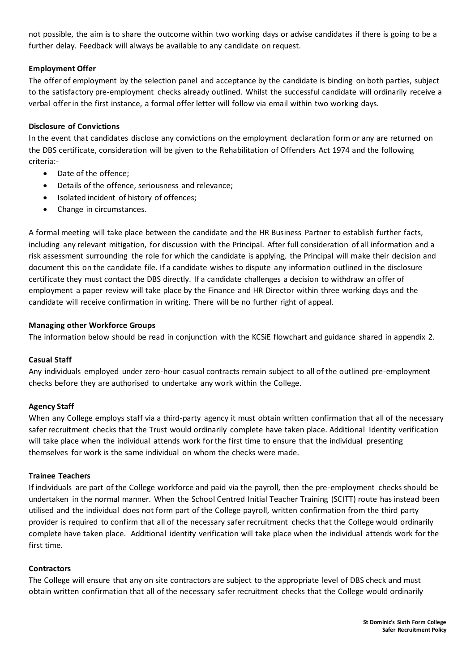not possible, the aim is to share the outcome within two working days or advise candidates if there is going to be a further delay. Feedback will always be available to any candidate on request.

### **Employment Offer**

The offer of employment by the selection panel and acceptance by the candidate is binding on both parties, subject to the satisfactory pre-employment checks already outlined. Whilst the successful candidate will ordinarily receive a verbal offer in the first instance, a formal offer letter will follow via email within two working days.

### **Disclosure of Convictions**

In the event that candidates disclose any convictions on the employment declaration form or any are returned on the DBS certificate, consideration will be given to the Rehabilitation of Offenders Act 1974 and the following criteria:-

- Date of the offence;
- Details of the offence, seriousness and relevance;
- Isolated incident of history of offences;
- Change in circumstances.

A formal meeting will take place between the candidate and the HR Business Partner to establish further facts, including any relevant mitigation, for discussion with the Principal. After full consideration of all information and a risk assessment surrounding the role for which the candidate is applying, the Principal will make their decision and document this on the candidate file. If a candidate wishes to dispute any information outlined in the disclosure certificate they must contact the DBS directly. If a candidate challenges a decision to withdraw an offer of employment a paper review will take place by the Finance and HR Director within three working days and the candidate will receive confirmation in writing. There will be no further right of appeal.

#### **Managing other Workforce Groups**

The information below should be read in conjunction with the KCSiE flowchart and guidance shared in appendix 2.

#### **Casual Staff**

Any individuals employed under zero-hour casual contracts remain subject to all of the outlined pre-employment checks before they are authorised to undertake any work within the College.

#### **Agency Staff**

When any College employs staff via a third-party agency it must obtain written confirmation that all of the necessary safer recruitment checks that the Trust would ordinarily complete have taken place. Additional Identity verification will take place when the individual attends work for the first time to ensure that the individual presenting themselves for work is the same individual on whom the checks were made.

#### **Trainee Teachers**

If individuals are part of the College workforce and paid via the payroll, then the pre-employment checks should be undertaken in the normal manner. When the School Centred Initial Teacher Training (SCITT) route has instead been utilised and the individual does not form part of the College payroll, written confirmation from the third party provider is required to confirm that all of the necessary safer recruitment checks that the College would ordinarily complete have taken place. Additional identity verification will take place when the individual attends work for the first time.

#### **Contractors**

The College will ensure that any on site contractors are subject to the appropriate level of DBS check and must obtain written confirmation that all of the necessary safer recruitment checks that the College would ordinarily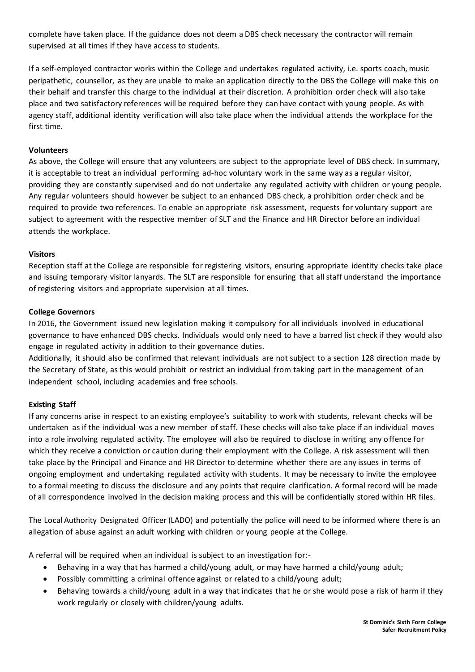complete have taken place. If the guidance does not deem a DBS check necessary the contractor will remain supervised at all times if they have access to students.

If a self-employed contractor works within the College and undertakes regulated activity, i.e. sports coach, music peripathetic, counsellor, as they are unable to make an application directly to the DBS the College will make this on their behalf and transfer this charge to the individual at their discretion. A prohibition order check will also take place and two satisfactory references will be required before they can have contact with young people. As with agency staff, additional identity verification will also take place when the individual attends the workplace for the first time.

#### **Volunteers**

As above, the College will ensure that any volunteers are subject to the appropriate level of DBS check. In summary, it is acceptable to treat an individual performing ad-hoc voluntary work in the same way as a regular visitor, providing they are constantly supervised and do not undertake any regulated activity with children or young people. Any regular volunteers should however be subject to an enhanced DBS check, a prohibition order check and be required to provide two references. To enable an appropriate risk assessment, requests for voluntary support are subject to agreement with the respective member of SLT and the Finance and HR Director before an individual attends the workplace.

#### **Visitors**

Reception staff at the College are responsible for registering visitors, ensuring appropriate identity checks take place and issuing temporary visitor lanyards. The SLT are responsible for ensuring that all staff understand the importance of registering visitors and appropriate supervision at all times.

#### **College Governors**

In 2016, the Government issued new legislation making it compulsory for all individuals involved in educational governance to have enhanced DBS checks. Individuals would only need to have a barred list check if they would also engage in regulated activity in addition to their governance duties.

Additionally, it should also be confirmed that relevant individuals are not subject to a section 128 direction made by the Secretary of State, as this would prohibit or restrict an individual from taking part in the management of an independent school, including academies and free schools.

#### **Existing Staff**

If any concerns arise in respect to an existing employee's suitability to work with students, relevant checks will be undertaken as if the individual was a new member of staff. These checks will also take place if an individual moves into a role involving regulated activity. The employee will also be required to disclose in writing any offence for which they receive a conviction or caution during their employment with the College. A risk assessment will then take place by the Principal and Finance and HR Director to determine whether there are any issues in terms of ongoing employment and undertaking regulated activity with students. It may be necessary to invite the employee to a formal meeting to discuss the disclosure and any points that require clarification. A formal record will be made of all correspondence involved in the decision making process and this will be confidentially stored within HR files.

The Local Authority Designated Officer (LADO) and potentially the police will need to be informed where there is an allegation of abuse against an adult working with children or young people at the College.

A referral will be required when an individual is subject to an investigation for:-

- Behaving in a way that has harmed a child/young adult, or may have harmed a child/young adult;
- Possibly committing a criminal offence against or related to a child/young adult;
- Behaving towards a child/young adult in a way that indicates that he or she would pose a risk of harm if they work regularly or closely with children/young adults.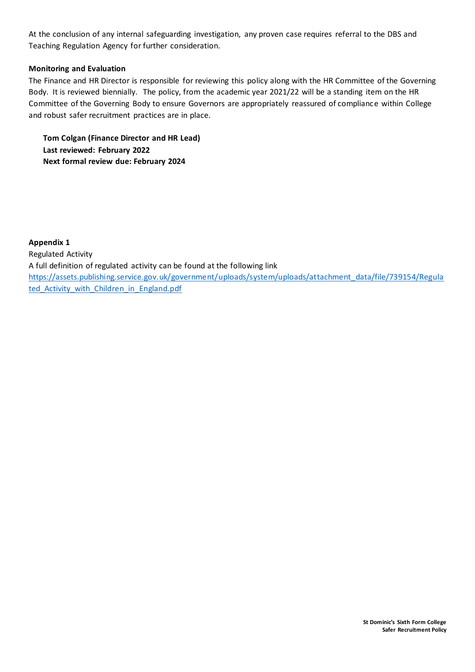At the conclusion of any internal safeguarding investigation, any proven case requires referral to the DBS and Teaching Regulation Agency for further consideration.

# **Monitoring and Evaluation**

The Finance and HR Director is responsible for reviewing this policy along with the HR Committee of the Governing Body. It is reviewed biennially. The policy, from the academic year 2021/22 will be a standing item on the HR Committee of the Governing Body to ensure Governors are appropriately reassured of compliance within College and robust safer recruitment practices are in place.

**Tom Colgan (Finance Director and HR Lead) Last reviewed: February 2022 Next formal review due: February 2024**

**Appendix 1** Regulated Activity A full definition of regulated activity can be found at the following link [https://assets.publishing.service.gov.uk/government/uploads/system/uploads/attachment\\_data/file/739154/Regula](https://assets.publishing.service.gov.uk/government/uploads/system/uploads/attachment_data/file/739154/Regulated_Activity_with_Children_in_England.pdf) ted Activity with Children in England.pdf